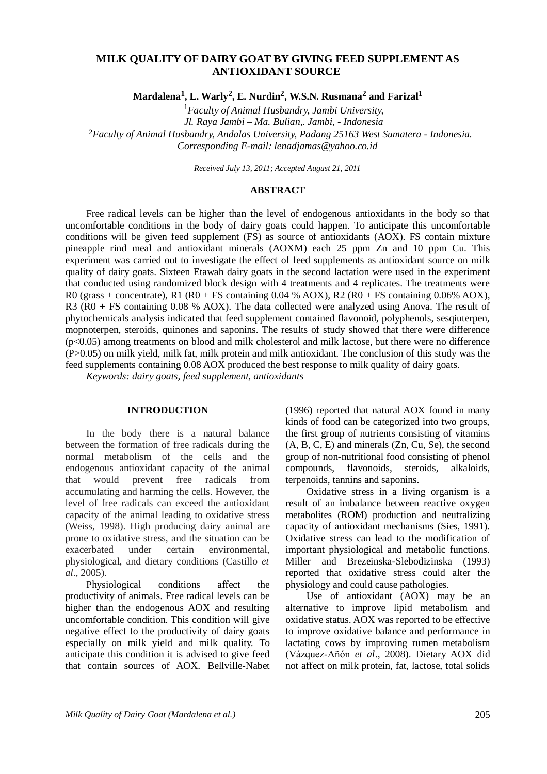# **MILK QUALITY OF DAIRY GOAT BY GIVING FEED SUPPLEMENT AS ANTIOXIDANT SOURCE**

**Mardalena<sup>1</sup> , L. Warly<sup>2</sup> , E. Nurdin<sup>2</sup> , W.S.N. Rusmana<sup>2</sup> and Farizal<sup>1</sup>**

<sup>1</sup>*Faculty of Animal Husbandry, Jambi University, Jl. Raya Jambi – Ma. Bulian,. Jambi, - Indonesia* <sup>2</sup>*Faculty of Animal Husbandry, Andalas University, Padang 25163 West Sumatera - Indonesia. Corresponding E-mail: lenadjamas@yahoo.co.id*

*Received July 13, 2011; Accepted August 21, 2011*

### **ABSTRACT**

Free radical levels can be higher than the level of endogenous antioxidants in the body so that uncomfortable conditions in the body of dairy goats could happen. To anticipate this uncomfortable conditions will be given feed supplement (FS) as source of antioxidants (AOX). FS contain mixture pineapple rind meal and antioxidant minerals (AOXM) each 25 ppm Zn and 10 ppm Cu. This experiment was carried out to investigate the effect of feed supplements as antioxidant source on milk quality of dairy goats. Sixteen Etawah dairy goats in the second lactation were used in the experiment that conducted using randomized block design with 4 treatments and 4 replicates. The treatments were R0 (grass + concentrate), R1 (R0 + FS containing 0.04 % AOX), R2 (R0 + FS containing 0.06% AOX), R3 (R0 + FS containing 0.08 % AOX). The data collected were analyzed using Anova. The result of phytochemicals analysis indicated that feed supplement contained flavonoid, polyphenols, sesqiuterpen, mopnoterpen, steroids, quinones and saponins. The results of study showed that there were difference (p<0.05) among treatments on blood and milk cholesterol and milk lactose, but there were no difference (P>0.05) on milk yield, milk fat, milk protein and milk antioxidant. The conclusion of this study was the feed supplements containing 0.08 AOX produced the best response to milk quality of dairy goats.

*Keywords: dairy goats, feed supplement, antioxidants*

### **INTRODUCTION**

In the body there is a natural balance between the formation of free radicals during the normal metabolism of the cells and the endogenous antioxidant capacity of the animal that would prevent free radicals from accumulating and harming the cells. However, the level of free radicals can exceed the antioxidant capacity of the animal leading to oxidative stress (Weiss, 1998). High producing dairy animal are prone to oxidative stress, and the situation can be exacerbated under certain environmental, physiological, and dietary conditions (Castillo *et al*., 2005).

Physiological conditions affect the productivity of animals. Free radical levels can be higher than the endogenous AOX and resulting uncomfortable condition. This condition will give negative effect to the productivity of dairy goats especially on milk yield and milk quality. To anticipate this condition it is advised to give feed that contain sources of AOX. Bellville-Nabet (1996) reported that natural AOX found in many kinds of food can be categorized into two groups, the first group of nutrients consisting of vitamins (A, B, C, E) and minerals (Zn, Cu, Se), the second group of non-nutritional food consisting of phenol compounds, flavonoids, steroids, alkaloids, terpenoids, tannins and saponins.

Oxidative stress in a living organism is a result of an imbalance between reactive oxygen metabolites (ROM) production and neutralizing capacity of antioxidant mechanisms (Sies, 1991). Oxidative stress can lead to the modification of important physiological and metabolic functions. Miller and Brezeinska-Slebodizinska (1993) reported that oxidative stress could alter the physiology and could cause pathologies.

Use of antioxidant (AOX) may be an alternative to improve lipid metabolism and oxidative status. AOX was reported to be effective to improve oxidative balance and performance in lactating cows by improving rumen metabolism (Vázquez-Añόn *et al*., 2008). Dietary AOX did not affect on milk protein, fat, lactose, total solids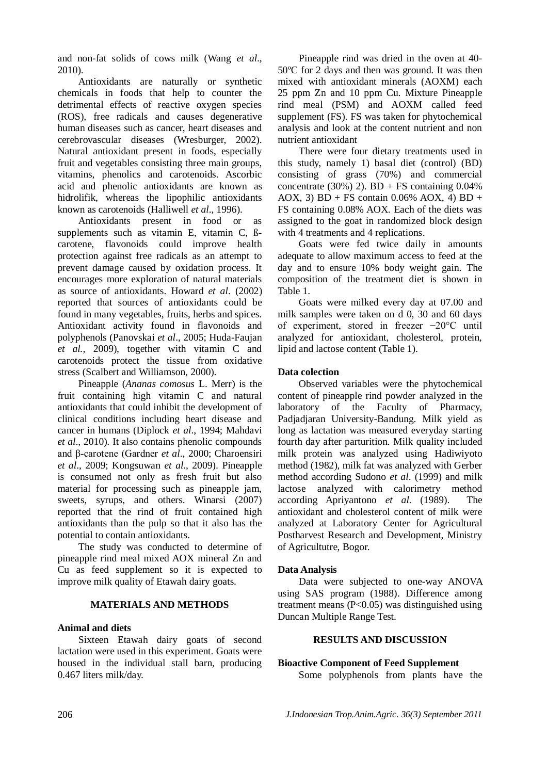and non-fat solids of cows milk (Wang *et al*., 2010).

Antioxidants are naturally or synthetic chemicals in foods that help to counter the detrimental effects of reactive oxygen species (ROS), free radicals and causes degenerative human diseases such as cancer, heart diseases and cerebrovascular diseases (Wresburger, 2002). Natural antioxidant present in foods, especially fruit and vegetables consisting three main groups, vitamins, phenolics and carotenoids. Ascorbic acid and phenolic antioxidants are known as hidrolifik, whereas the lipophilic antioxidants known as carotenoids (Halliwell *et al*., 1996).

Antioxidants present in food or as supplements such as vitamin E, vitamin C, ßcarotene, flavonoids could improve health protection against free radicals as an attempt to prevent damage caused by oxidation process. It encourages more exploration of natural materials as source of antioxidants. Howard *et al*. (2002) reported that sources of antioxidants could be found in many vegetables, fruits, herbs and spices. Antioxidant activity found in flavonoids and polyphenols (Panovskai *et al*., 2005; Huda-Faujan *et al.,* 2009), together with vitamin C and carotenoids protect the tissue from oxidative stress (Scalbert and Williamson, 2000).

Pineapple (*Ananas comosus* L. Merr) is the fruit containing high vitamin C and natural antioxidants that could inhibit the development of clinical conditions including heart disease and cancer in humans (Diplock *et al*., 1994; Mahdavi *et al*., 2010). It also contains phenolic compounds and β-carotene (Gardner *et al*., 2000; Charoensiri *et al*., 2009; Kongsuwan *et al*., 2009). Pineapple is consumed not only as fresh fruit but also material for processing such as pineapple jam, sweets, syrups, and others. Winarsi (2007) reported that the rind of fruit contained high antioxidants than the pulp so that it also has the potential to contain antioxidants.

The study was conducted to determine of pineapple rind meal mixed AOX mineral Zn and Cu as feed supplement so it is expected to improve milk quality of Etawah dairy goats.

### **MATERIALS AND METHODS**

# **Animal and diets**

Sixteen Etawah dairy goats of second lactation were used in this experiment. Goats were housed in the individual stall barn, producing 0.467 liters milk/day.

Pineapple rind was dried in the oven at 40- 50ºC for 2 days and then was ground. It was then mixed with antioxidant minerals (AOXM) each 25 ppm Zn and 10 ppm Cu. Mixture Pineapple rind meal (PSM) and AOXM called feed supplement (FS). FS was taken for phytochemical analysis and look at the content nutrient and non nutrient antioxidant

There were four dietary treatments used in this study, namely 1) basal diet (control) (BD) consisting of grass (70%) and commercial concentrate (30%) 2).  $BD + FS$  containing 0.04% AOX, 3) BD + FS contain  $0.06\%$  AOX, 4) BD + FS containing 0.08% AOX. Each of the diets was assigned to the goat in randomized block design with 4 treatments and 4 replications.

Goats were fed twice daily in amounts adequate to allow maximum access to feed at the day and to ensure 10% body weight gain. The composition of the treatment diet is shown in Table 1.

Goats were milked every day at 07.00 and milk samples were taken on d 0, 30 and 60 days of experiment, stored in freezer −20°C until analyzed for antioxidant, cholesterol, protein, lipid and lactose content (Table 1).

### **Data colection**

Observed variables were the phytochemical content of pineapple rind powder analyzed in the laboratory of the Faculty of Pharmacy, Padjadjaran University-Bandung. Milk yield as long as lactation was measured everyday starting fourth day after parturition. Milk quality included milk protein was analyzed using Hadiwiyoto method (1982), milk fat was analyzed with Gerber method according Sudono *et al*. (1999) and milk lactose analyzed with calorimetry method according Apriyantono *et al.* (1989). The antioxidant and cholesterol content of milk were analyzed at Laboratory Center for Agricultural Postharvest Research and Development, Ministry of Agricultutre, Bogor.

### **Data Analysis**

Data were subjected to one-way ANOVA using SAS program (1988). Difference among treatment means  $(P<0.05)$  was distinguished using Duncan Multiple Range Test.

## **RESULTS AND DISCUSSION**

## **Bioactive Component of Feed Supplement**

Some polyphenols from plants have the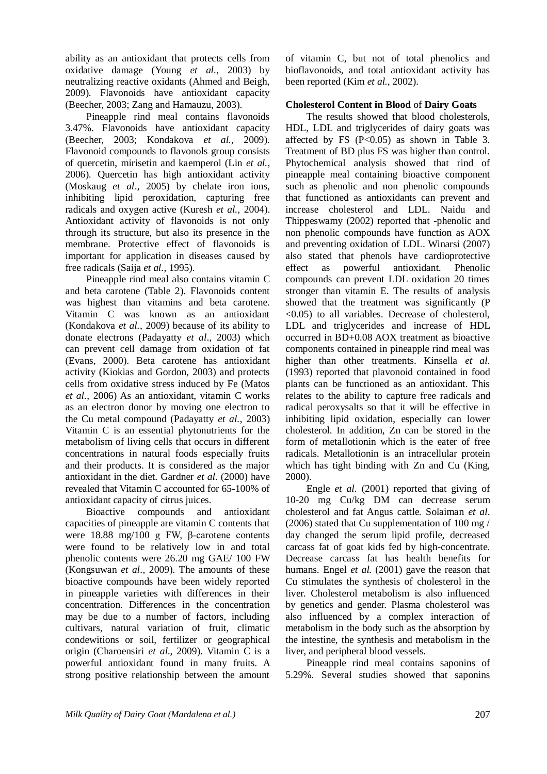ability as an antioxidant that protects cells from oxidative damage (Young *et al.*, 2003) by neutralizing reactive oxidants (Ahmed and Beigh, 2009). Flavonoids have antioxidant capacity (Beecher, 2003; Zang and Hamauzu, 2003).

Pineapple rind meal contains flavonoids 3.47%. Flavonoids have antioxidant capacity (Beecher, 2003; Kondakova *et al.,* 2009). Flavonoid compounds to flavonols group consists of quercetin, mirisetin and kaemperol (Lin *et al.,* 2006). Quercetin has high antioxidant activity (Moskaug *et al*., 2005) by chelate iron ions, inhibiting lipid peroxidation, capturing free radicals and oxygen active (Kuresh *et al.,* 2004). Antioxidant activity of flavonoids is not only through its structure, but also its presence in the membrane. Protective effect of flavonoids is important for application in diseases caused by free radicals (Saija *et al.*, 1995).

Pineapple rind meal also contains vitamin C and beta carotene (Table 2). Flavonoids content was highest than vitamins and beta carotene. Vitamin C was known as an antioxidant (Kondakova *et al.*, 2009) because of its ability to donate electrons (Padayatty *et al*., 2003) which can prevent cell damage from oxidation of fat (Evans, 2000). Beta carotene has antioxidant activity (Kiokias and Gordon, 2003) and protects cells from oxidative stress induced by Fe (Matos *et al.*, 2006) As an antioxidant, vitamin C works as an electron donor by moving one electron to the Cu metal compound (Padayatty *et al.*, 2003) Vitamin C is an essential phytonutrients for the metabolism of living cells that occurs in different concentrations in natural foods especially fruits and their products. It is considered as the major antioxidant in the diet. Gardner *et al*. (2000) have revealed that Vitamin C accounted for 65-100% of antioxidant capacity of citrus juices.

Bioactive compounds and antioxidant capacities of pineapple are vitamin C contents that were 18.88 mg/100 g FW, β-carotene contents were found to be relatively low in and total phenolic contents were 26.20 mg GAE/ 100 FW (Kongsuwan *et al*., 2009). The amounts of these bioactive compounds have been widely reported in pineapple varieties with differences in their concentration. Differences in the concentration may be due to a number of factors, including cultivars, natural variation of fruit, climatic condewitions or soil, fertilizer or geographical origin (Charoensiri *et al*., 2009). Vitamin C is a powerful antioxidant found in many fruits. A strong positive relationship between the amount of vitamin C, but not of total phenolics and bioflavonoids, and total antioxidant activity has been reported (Kim *et al.*, 2002).

# **Cholesterol Content in Blood** of **Dairy Goats**

The results showed that blood cholesterols, HDL, LDL and triglycerides of dairy goats was affected by FS  $(P<0.05)$  as shown in Table 3. Treatment of BD plus FS was higher than control. Phytochemical analysis showed that rind of pineapple meal containing bioactive component such as phenolic and non phenolic compounds that functioned as antioxidants can prevent and increase cholesterol and LDL. Naidu and Thippeswamy (2002) reported that -phenolic and non phenolic compounds have function as AOX and preventing oxidation of LDL. Winarsi (2007) also stated that phenols have cardioprotective effect as powerful antioxidant. Phenolic compounds can prevent LDL oxidation 20 times stronger than vitamin E. The results of analysis showed that the treatment was significantly (P <0.05) to all variables. Decrease of cholesterol, LDL and triglycerides and increase of HDL occurred in BD+0.08 AOX treatment as bioactive components contained in pineapple rind meal was higher than other treatments. Kinsella *et al.* (1993) reported that plavonoid contained in food plants can be functioned as an antioxidant. This relates to the ability to capture free radicals and radical peroxysalts so that it will be effective in inhibiting lipid oxidation, especially can lower cholesterol. In addition, Zn can be stored in the form of metallotionin which is the eater of free radicals. Metallotionin is an intracellular protein which has tight binding with Zn and Cu (King, 2000).

Engle *et al.* (2001) reported that giving of 10-20 mg Cu/kg DM can decrease serum cholesterol and fat Angus cattle. Solaiman *et al*. (2006) stated that Cu supplementation of 100 mg / day changed the serum lipid profile, decreased carcass fat of goat kids fed by high-concentrate. Decrease carcass fat has health benefits for humans. Engel *et al.* (2001) gave the reason that Cu stimulates the synthesis of cholesterol in the liver. Cholesterol metabolism is also influenced by genetics and gender. Plasma cholesterol was also influenced by a complex interaction of metabolism in the body such as the absorption by the intestine, the synthesis and metabolism in the liver, and peripheral blood vessels.

Pineapple rind meal contains saponins of 5.29%. Several studies showed that saponins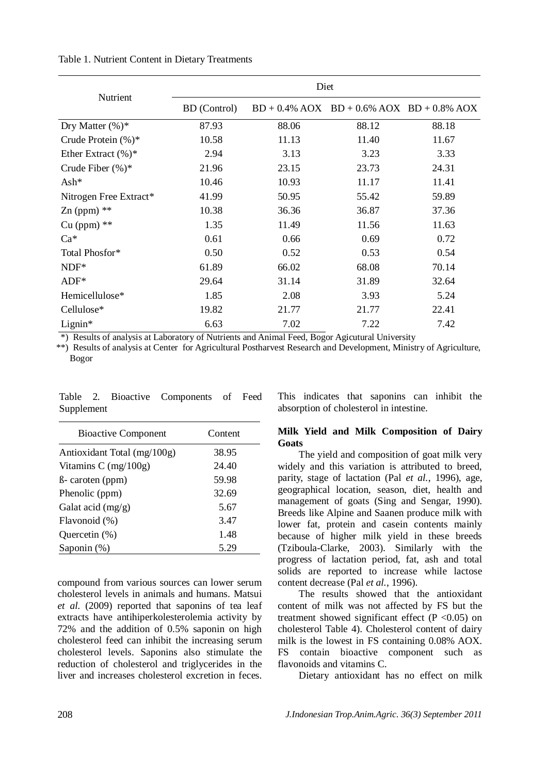|                        | Diet                |       |                                                    |       |  |  |
|------------------------|---------------------|-------|----------------------------------------------------|-------|--|--|
| Nutrient               | <b>BD</b> (Control) |       | $BD + 0.4\%$ AOX $BD + 0.6\%$ AOX $BD + 0.8\%$ AOX |       |  |  |
| Dry Matter $(\%)^*$    | 87.93               | 88.06 | 88.12                                              | 88.18 |  |  |
| Crude Protein $(\%)^*$ | 10.58               | 11.13 | 11.40                                              | 11.67 |  |  |
| Ether Extract $(\%)^*$ | 2.94                | 3.13  | 3.23                                               | 3.33  |  |  |
| Crude Fiber $(\%)^*$   | 21.96               | 23.15 | 23.73                                              | 24.31 |  |  |
| $Ash*$                 | 10.46               | 10.93 | 11.17                                              | 11.41 |  |  |
| Nitrogen Free Extract* | 41.99               | 50.95 | 55.42                                              | 59.89 |  |  |
| $Zn$ (ppm) $**$        | 10.38               | 36.36 | 36.87                                              | 37.36 |  |  |
| $Cu$ (ppm) $**$        | 1.35                | 11.49 | 11.56                                              | 11.63 |  |  |
| $Ca*$                  | 0.61                | 0.66  | 0.69                                               | 0.72  |  |  |
| Total Phosfor*         | 0.50                | 0.52  | 0.53                                               | 0.54  |  |  |
| $NDF*$                 | 61.89               | 66.02 | 68.08                                              | 70.14 |  |  |
| $ADF*$                 | 29.64               | 31.14 | 31.89                                              | 32.64 |  |  |
| Hemicellulose*         | 1.85                | 2.08  | 3.93                                               | 5.24  |  |  |
| Cellulose*             | 19.82               | 21.77 | 21.77                                              | 22.41 |  |  |
| $Lignin*$              | 6.63                | 7.02  | 7.22                                               | 7.42  |  |  |

### Table 1. Nutrient Content in Dietary Treatments

\*) Results of analysis at Laboratory of Nutrients and Animal Feed, Bogor Agicutural University

 \*\*) Results of analysis at Center for Agricultural Postharvest Research and Development, Ministry of Agriculture, Bogor

|            |  | Table 2. Bioactive Components of Feed |  |
|------------|--|---------------------------------------|--|
| Supplement |  |                                       |  |

| <b>Bioactive Component</b>  | Content |
|-----------------------------|---------|
| Antioxidant Total (mg/100g) | 38.95   |
| Vitamins C $(mg/100g)$      | 24.40   |
| ß- caroten (ppm)            | 59.98   |
| Phenolic (ppm)              | 32.69   |
| Galat acid $(mg/g)$         | 5.67    |
| Flavonoid (%)               | 3.47    |
| Quercetin $(\%)$            | 1.48    |
| Saponin $(\%)$              | 5.29    |

compound from various sources can lower serum cholesterol levels in animals and humans. Matsui *et al.* (2009) reported that saponins of tea leaf extracts have antihiperkolesterolemia activity by 72% and the addition of 0.5% saponin on high cholesterol feed can inhibit the increasing serum cholesterol levels. Saponins also stimulate the reduction of cholesterol and triglycerides in the liver and increases cholesterol excretion in feces.

This indicates that saponins can inhibit the absorption of cholesterol in intestine.

## **Milk Yield and Milk Composition of Dairy Goats**

The yield and composition of goat milk very widely and this variation is attributed to breed, parity, stage of lactation (Pal *et al.*, 1996), age, geographical location, season, diet, health and management of goats (Sing and Sengar, 1990). Breeds like Alpine and Saanen produce milk with lower fat, protein and casein contents mainly because of higher milk yield in these breeds (Tziboula-Clarke, 2003). Similarly with the progress of lactation period, fat, ash and total solids are reported to increase while lactose content decrease (Pal *et al.*, 1996).

The results showed that the antioxidant content of milk was not affected by FS but the treatment showed significant effect  $(P < 0.05)$  on cholesterol Table 4). Cholesterol content of dairy milk is the lowest in FS containing 0.08% AOX. FS contain bioactive component such as flavonoids and vitamins C.

Dietary antioxidant has no effect on milk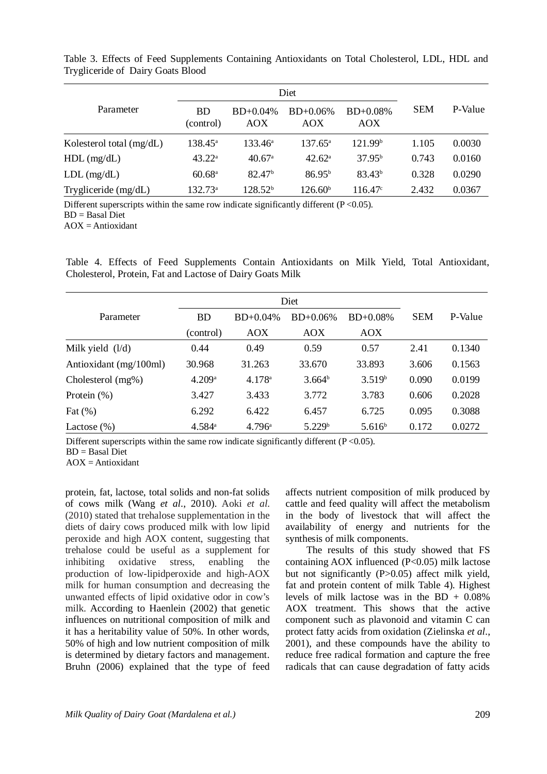| Parameter                  | Diet                   |                    |                     |                     |            |         |
|----------------------------|------------------------|--------------------|---------------------|---------------------|------------|---------|
|                            | <b>BD</b><br>(control) | $BD+0.04\%$<br>AOX | $BD+0.06%$<br>AOX   | $BD+0.08%$<br>AOX   | <b>SEM</b> | P-Value |
| Kolesterol total $(mg/dL)$ | $138.45^{\circ}$       | $133.46^{\circ}$   | $137.65^{\circ}$    | 121.99 <sup>b</sup> | 1.105      | 0.0030  |
| $HDL$ (mg/dL)              | $43.22^{\rm a}$        | 40.67 <sup>a</sup> | $42.62^{\circ}$     | 37.95 <sup>b</sup>  | 0.743      | 0.0160  |
| $LDL$ (mg/dL)              | $60.68^{\circ}$        | 82.47 <sup>b</sup> | $86.95^{b}$         | 83.43 <sup>b</sup>  | 0.328      | 0.0290  |
| Trygliceride $(mg/dL)$     | $132.73^{\circ}$       | $128.52^{\circ}$   | 126.60 <sup>b</sup> | $116.47^{\circ}$    | 2.432      | 0.0367  |

Table 3. Effects of Feed Supplements Containing Antioxidants on Total Cholesterol, LDL, HDL and Trygliceride of Dairy Goats Blood

Different superscripts within the same row indicate significantly different  $(P<0.05)$ .

BD = Basal Diet

AOX = Antioxidant

Table 4. Effects of Feed Supplements Contain Antioxidants on Milk Yield, Total Antioxidant, Cholesterol, Protein, Fat and Lactose of Dairy Goats Milk

|                        | Diet               |                    |                    |                    |            |         |
|------------------------|--------------------|--------------------|--------------------|--------------------|------------|---------|
| Parameter              | <b>BD</b>          | $BD+0.04\%$        | $BD+0.06%$         | $BD+0.08%$         | <b>SEM</b> | P-Value |
|                        | (control)          | AOX                | AOX                | AOX                |            |         |
| Milk yield $(l/d)$     | 0.44               | 0.49               | 0.59               | 0.57               | 2.41       | 0.1340  |
| Antioxidant (mg/100ml) | 30.968             | 31.263             | 33.670             | 33.893             | 3.606      | 0.1563  |
| Cholesterol (mg%)      | 4.209a             | 4.178 <sup>a</sup> | 3.664 <sup>b</sup> | 3.519 <sup>b</sup> | 0.090      | 0.0199  |
| Protein $(\%)$         | 3.427              | 3.433              | 3.772              | 3.783              | 0.606      | 0.2028  |
| Fat $(\%)$             | 6.292              | 6.422              | 6.457              | 6.725              | 0.095      | 0.3088  |
| Lactose $(\%)$         | 4.584 <sup>a</sup> | 4.796a             | 5.229 <sup>b</sup> | 5.616 <sup>b</sup> | 0.172      | 0.0272  |

Different superscripts within the same row indicate significantly different  $(P<0.05)$ .

 $BD = Basal$  Diet

 $AOX = Antioxidant$ 

protein, fat, lactose, total solids and non-fat solids of cows milk (Wang *et al*., 2010). Aoki *et al*. (2010) stated that trehalose supplementation in the diets of dairy cows produced milk with low lipid peroxide and high AOX content, suggesting that trehalose could be useful as a supplement for inhibiting oxidative stress, enabling the production of low-lipidperoxide and high-AOX milk for human consumption and decreasing the unwanted effects of lipid oxidative odor in cow's milk. According to Haenlein (2002) that genetic influences on nutritional composition of milk and it has a heritability value of 50%. In other words, 50% of high and low nutrient composition of milk is determined by dietary factors and management. Bruhn (2006) explained that the type of feed affects nutrient composition of milk produced by cattle and feed quality will affect the metabolism in the body of livestock that will affect the availability of energy and nutrients for the synthesis of milk components.

The results of this study showed that FS containing AOX influenced (P<0.05) milk lactose but not significantly (P>0.05) affect milk yield, fat and protein content of milk Table 4). Highest levels of milk lactose was in the  $BD + 0.08\%$ AOX treatment. This shows that the active component such as plavonoid and vitamin C can protect fatty acids from oxidation (Zielinska *et al*., 2001), and these compounds have the ability to reduce free radical formation and capture the free radicals that can cause degradation of fatty acids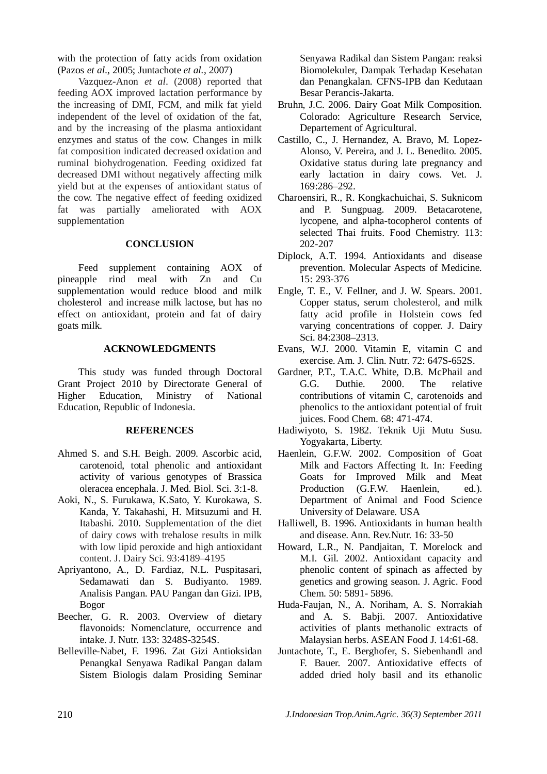with the protection of fatty acids from oxidation (Pazos *et al*., 2005; Juntachote *et al.*, 2007)

Vazquez-Anon *et al*. (2008) reported that feeding AOX improved lactation performance by the increasing of DMI, FCM, and milk fat yield independent of the level of oxidation of the fat, and by the increasing of the plasma antioxidant enzymes and status of the cow. Changes in milk fat composition indicated decreased oxidation and ruminal biohydrogenation. Feeding oxidized fat decreased DMI without negatively affecting milk yield but at the expenses of antioxidant status of the cow. The negative effect of feeding oxidized fat was partially ameliorated with AOX supplementation

#### **CONCLUSION**

Feed supplement containing AOX of pineapple rind meal with Zn and Cu supplementation would reduce blood and milk cholesterol and increase milk lactose, but has no effect on antioxidant, protein and fat of dairy goats milk.

## **ACKNOWLEDGMENTS**

This study was funded through Doctoral Grant Project 2010 by Directorate General of Higher Education, Ministry of National Education, Republic of Indonesia.

#### **REFERENCES**

- Ahmed S. and S.H. Beigh. 2009. Ascorbic acid, carotenoid, total phenolic and antioxidant activity of various genotypes of Brassica oleracea encephala. J. Med. Biol. Sci. 3:1-8.
- Aoki, N., S. Furukawa, K.Sato, Y. Kurokawa, S. Kanda, Y. Takahashi, H. Mitsuzumi and H. Itabashi. 2010. Supplementation of the diet of dairy cows with trehalose results in milk with low lipid peroxide and high antioxidant content. J. Dairy Sci. 93:4189–4195
- Apriyantono, A., D. Fardiaz, N.L. Puspitasari, Sedamawati dan S. Budiyanto. 1989. Analisis Pangan. PAU Pangan dan Gizi. IPB, Bogor
- Beecher, G. R. 2003. Overview of dietary flavonoids: Nomenclature, occurrence and intake. J. Nutr. 133: 3248S-3254S.
- Belleville-Nabet, F. 1996. Zat Gizi Antioksidan Penangkal Senyawa Radikal Pangan dalam Sistem Biologis dalam Prosiding Seminar

Senyawa Radikal dan Sistem Pangan: reaksi Biomolekuler, Dampak Terhadap Kesehatan dan Penangkalan. CFNS-IPB dan Kedutaan Besar Perancis-Jakarta.

- Bruhn, J.C. 2006. Dairy Goat Milk Composition. Colorado: Agriculture Research Service, Departement of Agricultural.
- Castillo, C., J. Hernandez, A. Bravo, M. Lopez-Alonso, V. Pereira, and J. L. Benedito. 2005. Oxidative status during late pregnancy and early lactation in dairy cows. Vet. J. 169:286–292.
- Charoensiri, R., R. Kongkachuichai, S. Suknicom and P. Sungpuag. 2009. Betacarotene, lycopene, and alpha-tocopherol contents of selected Thai fruits. Food Chemistry. 113: 202-207
- Diplock, A.T. 1994. Antioxidants and disease prevention. Molecular Aspects of Medicine. 15: 293-376
- Engle, T. E., V. Fellner, and J. W. Spears. 2001. Copper status, serum cholesterol, and milk fatty acid profile in Holstein cows fed varying concentrations of copper. J. Dairy Sci. 84:2308–2313.
- Evans, W.J. 2000. Vitamin E, vitamin C and exercise. Am. J. Clin. Nutr. 72: 647S-652S.
- Gardner, P.T., T.A.C. White, D.B. McPhail and G.G. Duthie. 2000. The relative contributions of vitamin C, carotenoids and phenolics to the antioxidant potential of fruit juices. Food Chem. 68: 471-474.
- Hadiwiyoto, S. 1982. Teknik Uji Mutu Susu. Yogyakarta, Liberty.
- Haenlein, G.F.W. 2002. Composition of Goat Milk and Factors Affecting It. In: Feeding Goats for Improved Milk and Meat Production (G.F.W. Haenlein, ed.). Department of Animal and Food Science University of Delaware. USA
- Halliwell, B. 1996. Antioxidants in human health and disease. Ann. Rev.Nutr. 16: 33-50
- Howard, L.R., N. Pandjaitan, T. Morelock and M.I. Gil. 2002. Antioxidant capacity and phenolic content of spinach as affected by genetics and growing season. J. Agric. Food Chem. 50: 5891- 5896.
- Huda-Faujan, N., A. Noriham, A. S. Norrakiah and A. S. Babji. 2007. Antioxidative activities of plants methanolic extracts of Malaysian herbs. ASEAN Food J. 14:61-68.
- Juntachote, T., E. Berghofer, S. Siebenhandl and F. Bauer. 2007. Antioxidative effects of added dried holy basil and its ethanolic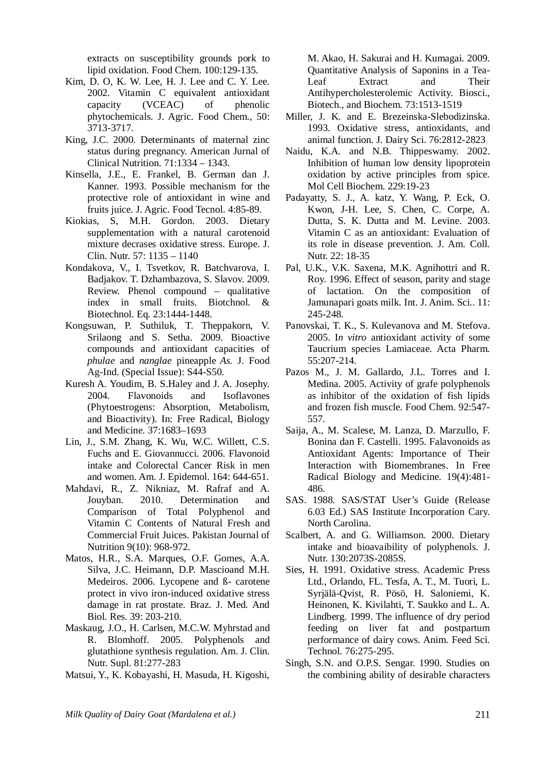extracts on susceptibility grounds pork to lipid oxidation. Food Chem. 100:129-135.

- Kim, D. O, K. W. Lee, H. J. Lee and C. Y. Lee. 2002. Vitamin C equivalent antioxidant capacity (VCEAC) of phenolic phytochemicals. J. Agric. Food Chem., 50: 3713-3717.
- King, J.C. 2000. Determinants of maternal zinc status during pregnancy. American Jurnal of Clinical Nutrition. 71:1334 – 1343.
- Kinsella, J.E., E. Frankel, B. German dan J. Kanner. 1993. Possible mechanism for the protective role of antioxidant in wine and fruits juice. J. Agric. Food Tecnol. 4:85-89.
- Kiokias, S, M.H. Gordon. 2003. Dietary supplementation with a natural carotenoid mixture decrases oxidative stress. Europe. J. Clin. Nutr. 57: 1135 – 1140
- Kondakova, V., I. Tsvetkov, R. Batchvarova, I. Badjakov. T. Dzhambazova, S. Slavov. 2009. Review. Phenol compound – qualitative index in small fruits. Biotchnol. & Biotechnol. Eq. 23:1444-1448.
- Kongsuwan, P. Suthiluk, T. Theppakorn, V. Srilaong and S. Setha. 2009. Bioactive compounds and antioxidant capacities of *phulae* and *nanglae* pineapple *As.* J. Food Ag-Ind. (Special Issue): S44-S50.
- Kuresh A. Youdim, B. S.Haley and J. A. Josephy. 2004. Flavonoids and Isoflavones (Phytoestrogens: Absorption, Metabolism, and Bioactivity). In: Free Radical, Biology and Medicine. 37:1683–1693
- Lin, J., S.M. Zhang, K. Wu, W.C. Willett, C.S. Fuchs and E. Giovannucci. 2006. Flavonoid intake and Colorectal Cancer Risk in men and women. Am. J. Epidemol. 164: 644-651.
- Mahdavi, R., Z. Nikniaz, M. Rafraf and A. Jouyban. 2010. Determination and Comparison of Total Polyphenol and Vitamin C Contents of Natural Fresh and Commercial Fruit Juices. Pakistan Journal of Nutrition 9(10): 968-972.
- Matos, H.R., S.A. Marques, O.F. Gomes, A.A. Silva, J.C. Heimann, D.P. Mascioand M.H. Medeiros. 2006. Lycopene and ß- carotene protect in vivo iron-induced oxidative stress damage in rat prostate. Braz. J. Med. And Biol. Res. 39: 203-210.
- Maskaug, J.O., H. Carlsen, M.C.W. Myhrstad and R. Blomhoff. 2005. Polyphenols and glutathione synthesis regulation. Am. J. Clin. Nutr. Supl. 81:277-283
- Matsui, Y., K. Kobayashi, H. Masuda, H. Kigoshi,

M. Akao, H. Sakurai and H. Kumagai. 2009. Quantitative Analysis of Saponins in a Tea-Leaf Extract and Their Antihypercholesterolemic Activity. Biosci., Biotech., and Biochem. 73:1513-1519

- Miller, J. K. and E. Brezeinska-Slebodizinska. 1993. Oxidative stress, antioxidants, and animal function. J. Dairy Sci. 76:2812-2823
- Naidu, K.A. and N.B. Thippeswamy. 2002. Inhibition of human low density lipoprotein oxidation by active principles from spice. Mol Cell Biochem. 229:19-23
- Padayatty, S. J., A. katz, Y. Wang, P. Eck, O. Kwon, J-H. Lee, S. Chen, C. Corpe, A. Dutta, S. K. Dutta and M. Levine. 2003. Vitamin C as an antioxidant: Evaluation of its role in disease prevention. J. Am. Coll. Nutr. 22: 18-35
- Pal, U.K., V.K. Saxena, M.K. Agnihottri and R. Roy. 1996. Effect of season, parity and stage of lactation. On the composition of Jamunapari goats milk. Int. J. Anim. Sci.. 11: 245-248.
- Panovskai, T. K., S. Kulevanova and M. Stefova. 2005. I*n vitro* antioxidant activity of some Taucrium species Lamiaceae. Acta Pharm. 55:207-214.
- Pazos M., J. M. Gallardo, J.L. Torres and I. Medina. 2005. Activity of grafe polyphenols as inhibitor of the oxidation of fish lipids and frozen fish muscle. Food Chem. 92:547- 557.
- Saija, A., M. Scalese, M. Lanza, D. Marzullo, F. Bonina dan F. Castelli. 1995. Falavonoids as Antioxidant Agents: Importance of Their Interaction with Biomembranes. In Free Radical Biology and Medicine. 19(4):481- 486.
- SAS. 1988. SAS/STAT User's Guide (Release 6.03 Ed.) SAS Institute Incorporation Cary. North Carolina.
- Scalbert, A. and G. Williamson. 2000. Dietary intake and bioavaibility of polyphenols. J. Nutr. 130:2073S-2085S.
- Sies, H. 1991. Oxidative stress. Academic Press Ltd., Orlando, FL. Tesfa, A. T., M. Tuori, L. Syrjälä-Qvist, R. Pösö, H. Saloniemi, K. Heinonen, K. Kivilahti, T. Saukko and L. A. Lindberg. 1999. The influence of dry period feeding on liver fat and postpartum performance of dairy cows. Anim. Feed Sci. Technol. 76:275-295.
- Singh, S.N. and O.P.S. Sengar. 1990. Studies on the combining ability of desirable characters